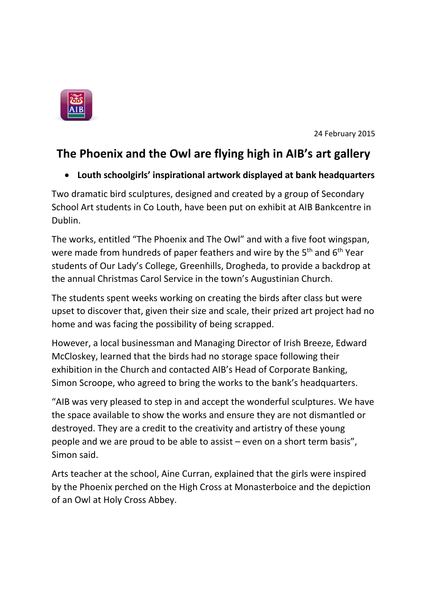

24 February 2015

## **The Phoenix and the Owl are flying high in AIB's art gallery**

## **Louth schoolgirls' inspirational artwork displayed at bank headquarters**

Two dramatic bird sculptures, designed and created by a group of Secondary School Art students in Co Louth, have been put on exhibit at AIB Bankcentre in Dublin.

The works, entitled "The Phoenix and The Owl" and with a five foot wingspan, were made from hundreds of paper feathers and wire by the  $5<sup>th</sup>$  and  $6<sup>th</sup>$  Year students of Our Lady's College, Greenhills, Drogheda, to provide a backdrop at the annual Christmas Carol Service in the town's Augustinian Church.

The students spent weeks working on creating the birds after class but were upset to discover that, given their size and scale, their prized art project had no home and was facing the possibility of being scrapped.

However, a local businessman and Managing Director of Irish Breeze, Edward McCloskey, learned that the birds had no storage space following their exhibition in the Church and contacted AIB's Head of Corporate Banking, Simon Scroope, who agreed to bring the works to the bank's headquarters.

"AIB was very pleased to step in and accept the wonderful sculptures. We have the space available to show the works and ensure they are not dismantled or destroyed. They are a credit to the creativity and artistry of these young people and we are proud to be able to assist – even on a short term basis", Simon said.

Arts teacher at the school, Aine Curran, explained that the girls were inspired by the Phoenix perched on the High Cross at Monasterboice and the depiction of an Owl at Holy Cross Abbey.